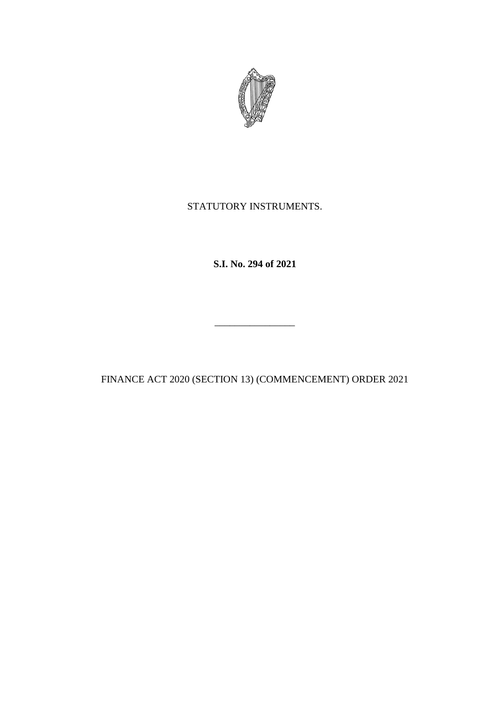

# STATUTORY INSTRUMENTS.

**S.I. No. 294 of 2021**

FINANCE ACT 2020 (SECTION 13) (COMMENCEMENT) ORDER 2021

\_\_\_\_\_\_\_\_\_\_\_\_\_\_\_\_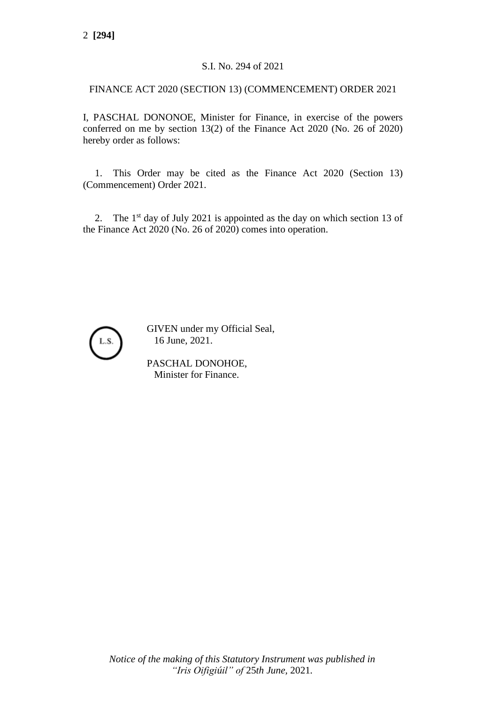### S.I. No. 294 of 2021

#### FINANCE ACT 2020 (SECTION 13) (COMMENCEMENT) ORDER 2021

I, PASCHAL DONONOE, Minister for Finance, in exercise of the powers conferred on me by section 13(2) of the Finance Act 2020 (No. 26 of 2020) hereby order as follows:

1. This Order may be cited as the Finance Act 2020 (Section 13) (Commencement) Order 2021.

2. The  $1<sup>st</sup>$  day of July 2021 is appointed as the day on which section 13 of the Finance Act 2020 (No. 26 of 2020) comes into operation.



GIVEN under my Official Seal, 16 June, 2021.

PASCHAL DONOHOE, Minister for Finance.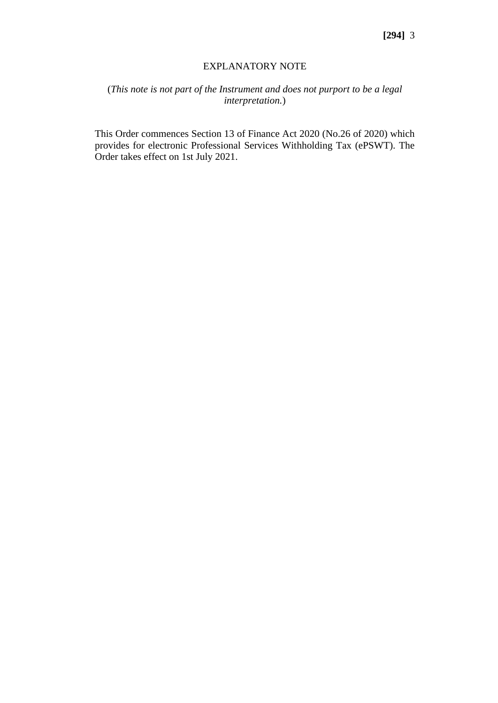#### EXPLANATORY NOTE

## (*This note is not part of the Instrument and does not purport to be a legal interpretation.*)

This Order commences Section 13 of Finance Act 2020 (No.26 of 2020) which provides for electronic Professional Services Withholding Tax (ePSWT). The Order takes effect on 1st July 2021.